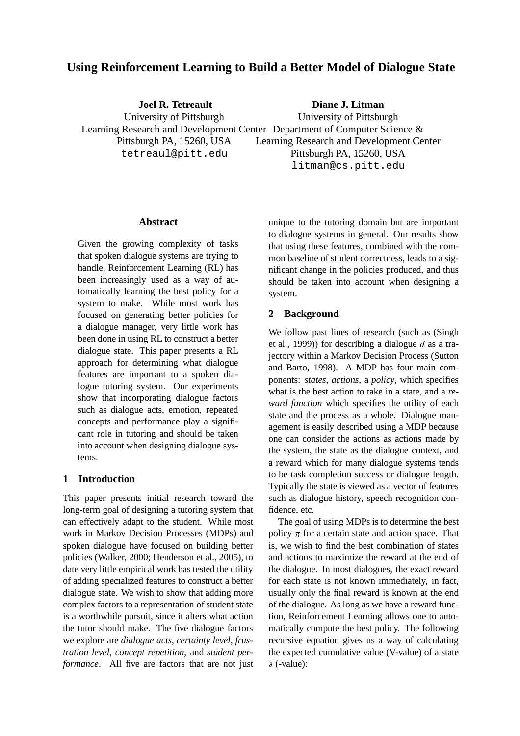# **Using Reinforcement Learning to Build a Better Model of Dialogue State**

**Joel R. Tetreault** University of Pittsburgh Learning Research and Development Center Department of Computer Science & Pittsburgh PA, 15260, USA tetreaul@pitt.edu **Diane J. Litman** University of Pittsburgh Learning Research and Development Center Pittsburgh PA, 15260, USA litman@cs.pitt.edu

#### **Abstract**

Given the growing complexity of tasks that spoken dialogue systems are trying to handle, Reinforcement Learning (RL) has been increasingly used as a way of automatically learning the best policy for a system to make. While most work has focused on generating better policies for a dialogue manager, very little work has been done in using RL to construct a better dialogue state. This paper presents a RL approach for determining what dialogue features are important to a spoken dialogue tutoring system. Our experiments show that incorporating dialogue factors such as dialogue acts, emotion, repeated concepts and performance play a significant role in tutoring and should be taken into account when designing dialogue systems.

## **1 Introduction**

This paper presents initial research toward the long-term goal of designing a tutoring system that can effectively adapt to the student. While most work in Markov Decision Processes (MDPs) and spoken dialogue have focused on building better policies (Walker, 2000; Henderson et al., 2005), to date very little empirical work has tested the utility of adding specialized features to construct a better dialogue state. We wish to show that adding more complex factors to a representation of student state is a worthwhile pursuit, since it alters what action the tutor should make. The five dialogue factors we explore are *dialogue acts*, *certainty level*, *frustration level*, *concept repetition*, and *student performance*. All five are factors that are not just

unique to the tutoring domain but are important to dialogue systems in general. Our results show that using these features, combined with the common baseline of student correctness, leads to a significant change in the policies produced, and thus should be taken into account when designing a system.

### **2 Background**

We follow past lines of research (such as (Singh et al., 1999)) for describing a dialogue  $d$  as a trajectory within a Markov Decision Process (Sutton and Barto, 1998). A MDP has four main components: *states*, *actions*, a *policy*, which specifies what is the best action to take in a state, and a *reward function* which specifies the utility of each state and the process as a whole. Dialogue management is easily described using a MDP because one can consider the actions as actions made by the system, the state as the dialogue context, and a reward which for many dialogue systems tends to be task completion success or dialogue length. Typically the state is viewed as a vector of features such as dialogue history, speech recognition confidence, etc.

The goal of using MDPs is to determine the best policy  $\pi$  for a certain state and action space. That is, we wish to find the best combination of states and actions to maximize the reward at the end of the dialogue. In most dialogues, the exact reward for each state is not known immediately, in fact, usually only the final reward is known at the end of the dialogue. As long as we have a reward function, Reinforcement Learning allows one to automatically compute the best policy. The following recursive equation gives us a way of calculating the expected cumulative value (V-value) of a state  $s$  (-value):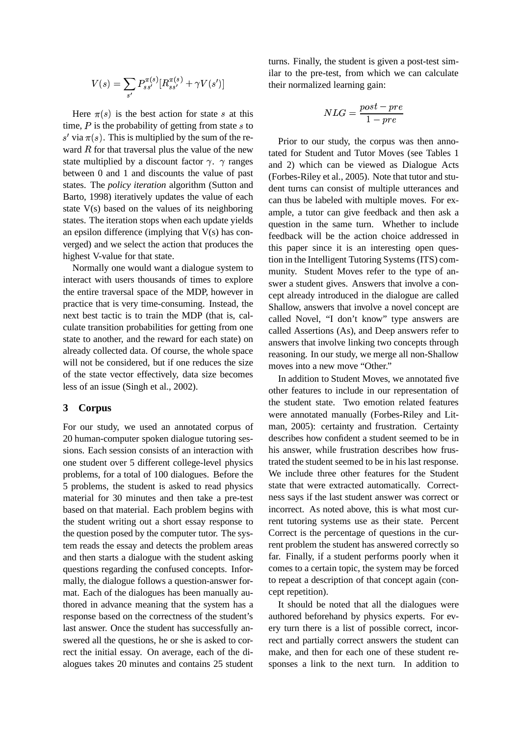$$
V(s) = \sum_{s'} P_{ss'}^{\pi(s)} [R_{ss'}^{\pi(s)} + \gamma V(s')]
$$

Here  $\pi(s)$  is the best action for state s at this time,  $P$  is the probability of getting from state  $s$  to s' via  $\pi(s)$ . This is multiplied by the sum of the re- $\alpha$  and  $\beta$ ,  $\gamma$  and  $\beta$  indices the value of the new state multiplied by a discount factor  $\gamma$ .  $\gamma$  ranges between 0 and 1 and discounts the value of past states. The *policy iteration* algorithm (Sutton and Barto, 1998) iteratively updates the value of each state V(s) based on the values of its neighboring states. The iteration stops when each update yields an epsilon difference (implying that  $V(s)$  has converged) and we select the action that produces the highest V-value for that state.

Normally one would want a dialogue system to interact with users thousands of times to explore the entire traversal space of the MDP, however in practice that is very time-consuming. Instead, the next best tactic is to train the MDP (that is, calculate transition probabilities for getting from one state to another, and the reward for each state) on already collected data. Of course, the whole space will not be considered, but if one reduces the size of the state vector effectively, data size becomes less of an issue (Singh et al., 2002).

#### **3 Corpus**

For our study, we used an annotated corpus of 20 human-computer spoken dialogue tutoring sessions. Each session consists of an interaction with one student over 5 different college-level physics problems, for a total of 100 dialogues. Before the 5 problems, the student is asked to read physics material for 30 minutes and then take a pre-test based on that material. Each problem begins with the student writing out a short essay response to the question posed by the computer tutor. The system reads the essay and detects the problem areas and then starts a dialogue with the student asking questions regarding the confused concepts. Informally, the dialogue follows a question-answer format. Each of the dialogues has been manually authored in advance meaning that the system has a response based on the correctness of the student's last answer. Once the student has successfully answered all the questions, he or she is asked to correct the initial essay. On average, each of the dialogues takes 20 minutes and contains 25 student turns. Finally, the student is given a post-test similar to the pre-test, from which we can calculate their normalized learning gain:

$$
NLG = \frac{post-pre}{1-pre}
$$

Prior to our study, the corpus was then annotated for Student and Tutor Moves (see Tables 1 and 2) which can be viewed as Dialogue Acts (Forbes-Riley et al., 2005). Note that tutor and student turns can consist of multiple utterances and can thus be labeled with multiple moves. For example, a tutor can give feedback and then ask a question in the same turn. Whether to include feedback will be the action choice addressed in this paper since it is an interesting open question in the Intelligent Tutoring Systems (ITS) community. Student Moves refer to the type of answer a student gives. Answers that involve a concept already introduced in the dialogue are called Shallow, answers that involve a novel concept are called Novel, "I don't know" type answers are called Assertions (As), and Deep answers refer to answers that involve linking two concepts through reasoning. In our study, we merge all non-Shallow moves into a new move "Other."

In addition to Student Moves, we annotated five other features to include in our representation of the student state. Two emotion related features were annotated manually (Forbes-Riley and Litman, 2005): certainty and frustration. Certainty describes how confident a student seemed to be in his answer, while frustration describes how frustrated the student seemed to be in his last response. We include three other features for the Student state that were extracted automatically. Correctness says if the last student answer was correct or incorrect. As noted above, this is what most current tutoring systems use as their state. Percent Correct is the percentage of questions in the current problem the student has answered correctly so far. Finally, if a student performs poorly when it comes to a certain topic, the system may be forced to repeat a description of that concept again (concept repetition).

It should be noted that all the dialogues were authored beforehand by physics experts. For every turn there is a list of possible correct, incorrect and partially correct answers the student can make, and then for each one of these student responses a link to the next turn. In addition to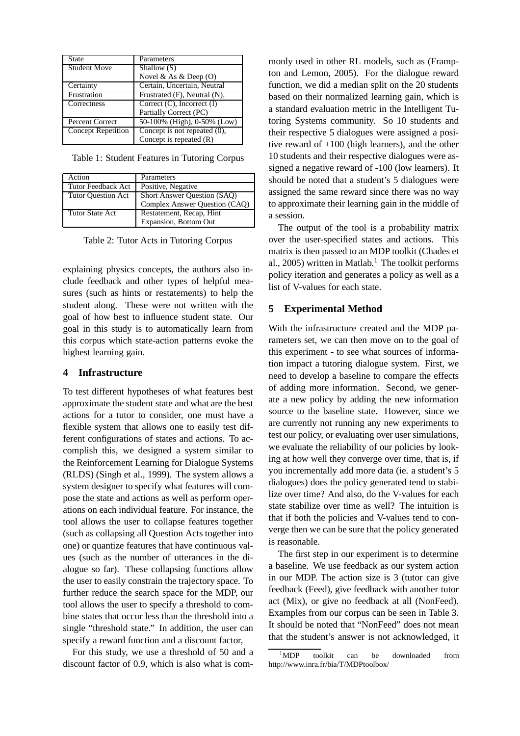| State                     | Parameters                         |
|---------------------------|------------------------------------|
| <b>Student Move</b>       | Shallow (S)                        |
|                           | Novel & As & Deep $(O)$            |
| Certainty                 | Certain, Uncertain, Neutral        |
| Frustration               | Frustrated $(F)$ , Neutral $(N)$ , |
| Correctness               | Correct $(C)$ , Incorrect $(I)$    |
|                           | Partially Correct (PC)             |
| Percent Correct           | 50-100% (High), 0-50% (Low)        |
| <b>Concept Repetition</b> | Concept is not repeated $(0)$ ,    |
|                           | Concept is repeated $(R)$          |

Table 1: Student Features in Tutoring Corpus

| Action                    | Parameters                    |  |
|---------------------------|-------------------------------|--|
| Tutor Feedback Act        | Positive, Negative            |  |
| <b>Tutor Ouestion Act</b> | Short Answer Question (SAQ)   |  |
|                           | Complex Answer Question (CAQ) |  |
| Tutor State Act           | Restatement, Recap, Hint      |  |
|                           | Expansion, Bottom Out         |  |

Table 2: Tutor Acts in Tutoring Corpus

explaining physics concepts, the authors also include feedback and other types of helpful measures (such as hints or restatements) to help the student along. These were not written with the goal of how best to influence student state. Our goal in this study is to automatically learn from this corpus which state-action patterns evoke the highest learning gain.

### **4 Infrastructure**

To test different hypotheses of what features best approximate the student state and what are the best actions for a tutor to consider, one must have a flexible system that allows one to easily test different configurations of states and actions. To accomplish this, we designed a system similar to the Reinforcement Learning for Dialogue Systems (RLDS) (Singh et al., 1999). The system allows a system designer to specify what features will compose the state and actions as well as perform operations on each individual feature. For instance, the tool allows the user to collapse features together (such as collapsing all Question Acts together into one) or quantize features that have continuous values (such as the number of utterances in the dialogue so far). These collapsing functions allow the user to easily constrain the trajectory space. To further reduce the search space for the MDP, our tool allows the user to specify a threshold to combine states that occur less than the threshold into a single "threshold state." In addition, the user can specify a reward function and a discount factor,

For this study, we use a threshold of 50 and a discount factor of 0.9, which is also what is commonly used in other RL models, such as (Frampton and Lemon, 2005). For the dialogue reward function, we did a median split on the 20 students based on their normalized learning gain, which is a standard evaluation metric in the Intelligent Tutoring Systems community. So 10 students and their respective 5 dialogues were assigned a positive reward of +100 (high learners), and the other 10 students and their respective dialogues were assigned a negative reward of -100 (low learners). It should be noted that a student's 5 dialogues were assigned the same reward since there was no way to approximate their learning gain in the middle of a session.

The output of the tool is a probability matrix over the user-specified states and actions. This matrix is then passed to an MDP toolkit (Chades et al., 2005) written in Matlab.<sup>1</sup> The toolkit performs policy iteration and generates a policy as well as a list of V-values for each state.

### **5 Experimental Method**

With the infrastructure created and the MDP parameters set, we can then move on to the goal of this experiment - to see what sources of information impact a tutoring dialogue system. First, we need to develop a baseline to compare the effects of adding more information. Second, we generate a new policy by adding the new information source to the baseline state. However, since we are currently not running any new experiments to test our policy, or evaluating over user simulations, we evaluate the reliability of our policies by looking at how well they converge over time, that is, if you incrementally add more data (ie. a student's 5 dialogues) does the policy generated tend to stabilize over time? And also, do the V-values for each state stabilize over time as well? The intuition is that if both the policies and V-values tend to converge then we can be sure that the policy generated is reasonable.

The first step in our experiment is to determine a baseline. We use feedback as our system action in our MDP. The action size is 3 (tutor can give feedback (Feed), give feedback with another tutor act (Mix), or give no feedback at all (NonFeed). Examples from our corpus can be seen in Table 3. It should be noted that "NonFeed" does not mean that the student's answer is not acknowledged, it

<sup>&</sup>lt;sup>1</sup>MDP toolkit can be downloaded from http://www.inra.fr/bia/T/MDPtoolbox/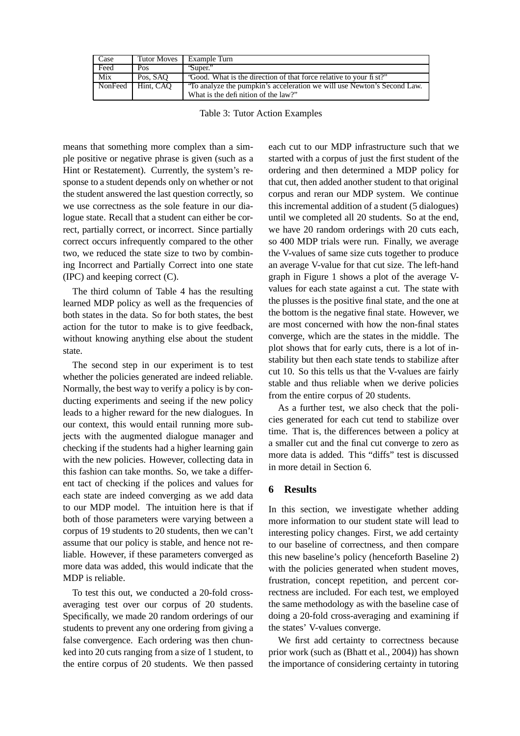| Case    | <b>Tutor Moves</b> | Example Turn                                                                                                   |
|---------|--------------------|----------------------------------------------------------------------------------------------------------------|
| Feed    | Pos                | 'Super."                                                                                                       |
| Mix     | Pos, SAO           | "Good. What is the direction of that force relative to your fi st?"                                            |
| NonFeed | Hint. CAO          | 'To analyze the pumpkin's acceleration we will use Newton's Second Law.<br>What is the definition of the law?" |

Table 3: Tutor Action Examples

means that something more complex than a simple positive or negative phrase is given (such as a Hint or Restatement). Currently, the system's response to a student depends only on whether or not the student answered the last question correctly, so we use correctness as the sole feature in our dialogue state. Recall that a student can either be correct, partially correct, or incorrect. Since partially correct occurs infrequently compared to the other two, we reduced the state size to two by combining Incorrect and Partially Correct into one state (IPC) and keeping correct (C).

The third column of Table 4 has the resulting learned MDP policy as well as the frequencies of both states in the data. So for both states, the best action for the tutor to make is to give feedback, without knowing anything else about the student state.

The second step in our experiment is to test whether the policies generated are indeed reliable. Normally, the best way to verify a policy is by conducting experiments and seeing if the new policy leads to a higher reward for the new dialogues. In our context, this would entail running more subjects with the augmented dialogue manager and checking if the students had a higher learning gain with the new policies. However, collecting data in this fashion can take months. So, we take a different tact of checking if the polices and values for each state are indeed converging as we add data to our MDP model. The intuition here is that if both of those parameters were varying between a corpus of 19 students to 20 students, then we can't assume that our policy is stable, and hence not reliable. However, if these parameters converged as more data was added, this would indicate that the MDP is reliable.

To test this out, we conducted a 20-fold crossaveraging test over our corpus of 20 students. Specifically, we made 20 random orderings of our students to prevent any one ordering from giving a false convergence. Each ordering was then chunked into 20 cuts ranging from a size of 1 student, to the entire corpus of 20 students. We then passed each cut to our MDP infrastructure such that we started with a corpus of just the first student of the ordering and then determined a MDP policy for that cut, then added another student to that original corpus and reran our MDP system. We continue this incremental addition of a student (5 dialogues) until we completed all 20 students. So at the end, we have 20 random orderings with 20 cuts each, so 400 MDP trials were run. Finally, we average the V-values of same size cuts together to produce an average V-value for that cut size. The left-hand graph in Figure 1 shows a plot of the average Vvalues for each state against a cut. The state with the plusses is the positive final state, and the one at the bottom is the negative final state. However, we are most concerned with how the non-final states converge, which are the states in the middle. The plot shows that for early cuts, there is a lot of instability but then each state tends to stabilize after cut 10. So this tells us that the V-values are fairly stable and thus reliable when we derive policies from the entire corpus of 20 students.

As a further test, we also check that the policies generated for each cut tend to stabilize over time. That is, the differences between a policy at a smaller cut and the final cut converge to zero as more data is added. This "diffs" test is discussed in more detail in Section 6.

# **6 Results**

In this section, we investigate whether adding more information to our student state will lead to interesting policy changes. First, we add certainty to our baseline of correctness, and then compare this new baseline's policy (henceforth Baseline 2) with the policies generated when student moves, frustration, concept repetition, and percent correctness are included. For each test, we employed the same methodology as with the baseline case of doing a 20-fold cross-averaging and examining if the states' V-values converge.

We first add certainty to correctness because prior work (such as (Bhatt et al., 2004)) has shown the importance of considering certainty in tutoring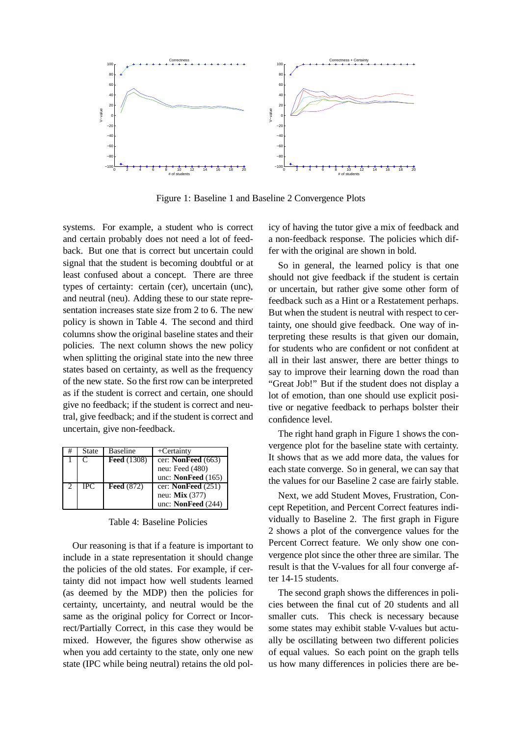

Figure 1: Baseline 1 and Baseline 2 Convergence Plots

systems. For example, a student who is correct and certain probably does not need a lot of feedback. But one that is correct but uncertain could signal that the student is becoming doubtful or at least confused about a concept. There are three types of certainty: certain (cer), uncertain (unc), and neutral (neu). Adding these to our state representation increases state size from 2 to 6. The new policy is shown in Table 4. The second and third columns show the original baseline states and their policies. The next column shows the new policy when splitting the original state into the new three states based on certainty, as well as the frequency of the new state. So the first row can be interpreted as if the student is correct and certain, one should give no feedback; if the student is correct and neutral, give feedback; and if the student is correct and uncertain, give non-feedback.

| State | <b>Baseline</b>    | $+$ Certainty         |
|-------|--------------------|-----------------------|
| C     | <b>Feed</b> (1308) | cer: NonFeed $(663)$  |
|       |                    | neu: Feed (480)       |
|       |                    | unc: NonFeed $(165)$  |
| IPC.  | <b>Feed</b> (872)  | cer: NonFeed $(251)$  |
|       |                    | neu: <b>Mix</b> (377) |
|       |                    | unc: NonFeed $(244)$  |

Table 4: Baseline Policies

Our reasoning is that if a feature is important to include in a state representation it should change the policies of the old states. For example, if certainty did not impact how well students learned (as deemed by the MDP) then the policies for certainty, uncertainty, and neutral would be the same as the original policy for Correct or Incorrect/Partially Correct, in this case they would be mixed. However, the figures show otherwise as when you add certainty to the state, only one new state (IPC while being neutral) retains the old policy of having the tutor give a mix of feedback and a non-feedback response. The policies which differ with the original are shown in bold.

So in general, the learned policy is that one should not give feedback if the student is certain or uncertain, but rather give some other form of feedback such as a Hint or a Restatement perhaps. But when the student is neutral with respect to certainty, one should give feedback. One way of interpreting these results is that given our domain, for students who are confident or not confident at all in their last answer, there are better things to say to improve their learning down the road than "Great Job!" But if the student does not display a lot of emotion, than one should use explicit positive or negative feedback to perhaps bolster their confidence level.

The right hand graph in Figure 1 shows the convergence plot for the baseline state with certainty. It shows that as we add more data, the values for each state converge. So in general, we can say that the values for our Baseline 2 case are fairly stable.

Next, we add Student Moves, Frustration, Concept Repetition, and Percent Correct features individually to Baseline 2. The first graph in Figure 2 shows a plot of the convergence values for the Percent Correct feature. We only show one convergence plot since the other three are similar. The result is that the V-values for all four converge after 14-15 students.

The second graph shows the differences in policies between the final cut of 20 students and all smaller cuts. This check is necessary because some states may exhibit stable V-values but actually be oscillating between two different policies of equal values. So each point on the graph tells us how many differences in policies there are be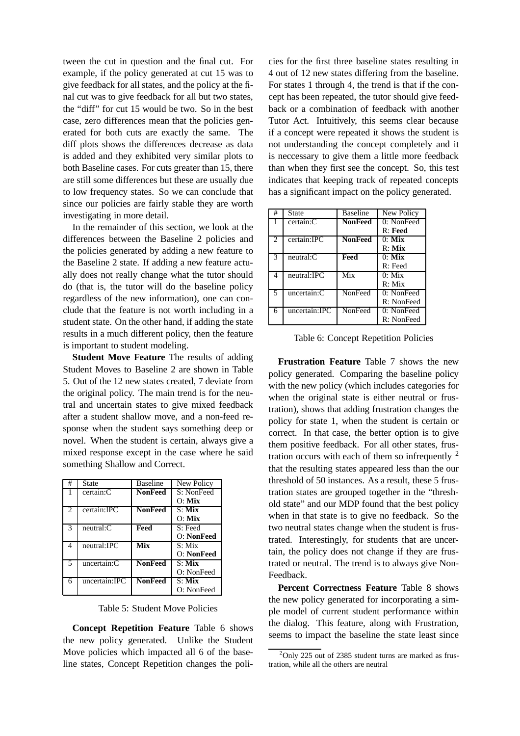tween the cut in question and the final cut. For example, if the policy generated at cut 15 was to give feedback for all states, and the policy at the final cut was to give feedback for all but two states, the "diff" for cut 15 would be two. So in the best case, zero differences mean that the policies generated for both cuts are exactly the same. The diff plots shows the differences decrease as data is added and they exhibited very similar plots to both Baseline cases. For cuts greater than 15, there are still some differences but these are usually due to low frequency states. So we can conclude that since our policies are fairly stable they are worth investigating in more detail.

In the remainder of this section, we look at the differences between the Baseline 2 policies and the policies generated by adding a new feature to the Baseline 2 state. If adding a new feature actually does not really change what the tutor should do (that is, the tutor will do the baseline policy regardless of the new information), one can conclude that the feature is not worth including in a student state. On the other hand, if adding the state results in a much different policy, then the feature is important to student modeling.

**Student Move Feature** The results of adding Student Moves to Baseline 2 are shown in Table 5. Out of the 12 new states created, 7 deviate from the original policy. The main trend is for the neutral and uncertain states to give mixed feedback after a student shallow move, and a non-feed response when the student says something deep or novel. When the student is certain, always give a mixed response except in the case where he said something Shallow and Correct.

| #              | <b>State</b>   | <b>Baseline</b> | New Policy          |
|----------------|----------------|-----------------|---------------------|
|                | certain:C      | <b>NonFeed</b>  | S: NonFeed          |
|                |                |                 | $O:$ Mix            |
| $\mathfrak{D}$ | certain:IPC    | <b>NonFeed</b>  | $S:$ Mix            |
|                |                |                 | $O:$ Mix            |
| 3              | $neutral:$ $C$ | Feed            | S: Feed             |
|                |                |                 | O: NonFeed          |
| 4              | neutral:IPC    | Mix             | $S: Mi\overline{x}$ |
|                |                |                 | O: NonFeed          |
| 5              | uncertain:C    | <b>NonFeed</b>  | $S:$ Mix            |
|                |                |                 | O: NonFeed          |
| 6              | uncertain:IPC  | <b>NonFeed</b>  | $S:$ Mix            |
|                |                |                 | O: NonFeed          |

Table 5: Student Move Policies

**Concept Repetition Feature** Table 6 shows the new policy generated. Unlike the Student Move policies which impacted all 6 of the baseline states, Concept Repetition changes the policies for the first three baseline states resulting in 4 out of 12 new states differing from the baseline. For states 1 through 4, the trend is that if the concept has been repeated, the tutor should give feedback or a combination of feedback with another Tutor Act. Intuitively, this seems clear because if a concept were repeated it shows the student is not understanding the concept completely and it is neccessary to give them a little more feedback than when they first see the concept. So, this test indicates that keeping track of repeated concepts has a significant impact on the policy generated.

| #                        | <b>State</b>  | <b>Baseline</b> | New Policy |
|--------------------------|---------------|-----------------|------------|
|                          | certain:C     | <b>NonFeed</b>  | 0: NonFeed |
|                          |               |                 | $R:$ Feed  |
| $\overline{2}$           | certain:IPC   | <b>NonFeed</b>  | $0:$ Mix   |
|                          |               |                 | $R:$ Mix   |
| $\overline{\mathcal{E}}$ | neutral: C    | Feed            | $0:$ Mix   |
|                          |               |                 | $R:$ Feed  |
| $\overline{4}$           | neutral:IPC   | Mix             | $0:$ Mix   |
|                          |               |                 | R: Mix     |
| $\overline{\phantom{1}}$ | uncertain:C   | NonFeed         | 0: NonFeed |
|                          |               |                 | R: NonFeed |
| 6                        | uncertain:IPC | NonFeed         | 0: NonFeed |
|                          |               |                 | R: NonFeed |

Table 6: Concept Repetition Policies

**Frustration Feature** Table 7 shows the new policy generated. Comparing the baseline policy with the new policy (which includes categories for when the original state is either neutral or frustration), shows that adding frustration changes the policy for state 1, when the student is certain or correct. In that case, the better option is to give them positive feedback. For all other states, frustration occurs with each of them so infrequently  $2$ that the resulting states appeared less than the our threshold of 50 instances. As a result, these 5 frustration states are grouped together in the "threshold state" and our MDP found that the best policy when in that state is to give no feedback. So the two neutral states change when the student is frustrated. Interestingly, for students that are uncertain, the policy does not change if they are frustrated or neutral. The trend is to always give Non-Feedback.

**Percent Correctness Feature** Table 8 shows the new policy generated for incorporating a simple model of current student performance within the dialog. This feature, along with Frustration, seems to impact the baseline the state least since

 $2^2$ Only 225 out of 2385 student turns are marked as frustration, while all the others are neutral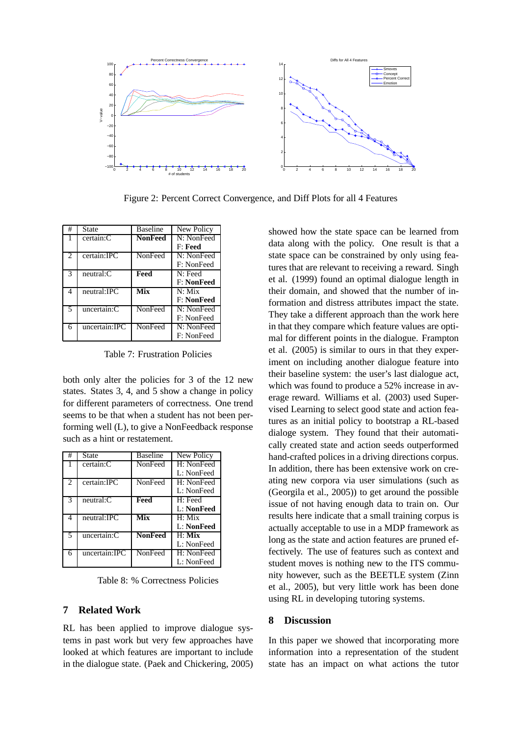

Figure 2: Percent Correct Convergence, and Diff Plots for all 4 Features

| # | State         | <b>Baseline</b> | New Policy        |
|---|---------------|-----------------|-------------------|
|   | certain:C     | <b>NonFeed</b>  | N: NonFeed        |
|   |               |                 | F: Feed           |
| 2 | certain:IPC   | NonFeed         | N: NonFeed        |
|   |               |                 | F: NonFeed        |
| 3 | neutral:C     | Feed            | $N:$ Feed         |
|   |               |                 | <b>F: NonFeed</b> |
| 4 | neutral:IPC   | Mix             | $N:$ Mix          |
|   |               |                 | <b>F: NonFeed</b> |
| 5 | uncertain:C   | NonFeed         | N: NonFeed        |
|   |               |                 | F: NonFeed        |
| 6 | uncertain:IPC | NonFeed         | N: NonFeed        |
|   |               |                 | F: NonFeed        |

Table 7: Frustration Policies

both only alter the policies for 3 of the 12 new states. States 3, 4, and 5 show a change in policy for different parameters of correctness. One trend seems to be that when a student has not been performing well (L), to give a NonFeedback response such as a hint or restatement.

| #                           | State          | <b>Baseline</b> | New Policy |
|-----------------------------|----------------|-----------------|------------|
|                             | certain:C      | NonFeed         | H: NonFeed |
|                             |                |                 | L: NonFeed |
| $\mathcal{D}_{\mathcal{L}}$ | certain:IPC    | NonFeed         | H: NonFeed |
|                             |                |                 | L: NonFeed |
| 3                           | $neutral:$ $C$ | Feed            | H: Feed    |
|                             |                |                 | L: NonFeed |
| 4                           | neutral:IPC    | Mix             | $H:$ Mix   |
|                             |                |                 | L: NonFeed |
| 5                           | uncertain:C    | <b>NonFeed</b>  | $H:$ Mix   |
|                             |                |                 | L: NonFeed |
| 6                           | uncertain:IPC  | NonFeed         | H: NonFeed |
|                             |                |                 | L: NonFeed |

Table 8: % Correctness Policies

### **7 Related Work**

RL has been applied to improve dialogue systems in past work but very few approaches have looked at which features are important to include in the dialogue state. (Paek and Chickering, 2005) showed how the state space can be learned from data along with the policy. One result is that a state space can be constrained by only using features that are relevant to receiving a reward. Singh et al. (1999) found an optimal dialogue length in their domain, and showed that the number of information and distress attributes impact the state. They take a different approach than the work here in that they compare which feature values are optimal for different points in the dialogue. Frampton et al. (2005) is similar to ours in that they experiment on including another dialogue feature into their baseline system: the user's last dialogue act, which was found to produce a 52% increase in average reward. Williams et al. (2003) used Supervised Learning to select good state and action features as an initial policy to bootstrap a RL-based dialoge system. They found that their automatically created state and action seeds outperformed hand-crafted polices in a driving directions corpus. In addition, there has been extensive work on creating new corpora via user simulations (such as (Georgila et al., 2005)) to get around the possible issue of not having enough data to train on. Our results here indicate that a small training corpus is actually acceptable to use in a MDP framework as long as the state and action features are pruned effectively. The use of features such as context and student moves is nothing new to the ITS community however, such as the BEETLE system (Zinn et al., 2005), but very little work has been done using RL in developing tutoring systems.

#### **8 Discussion**

In this paper we showed that incorporating more information into a representation of the student state has an impact on what actions the tutor